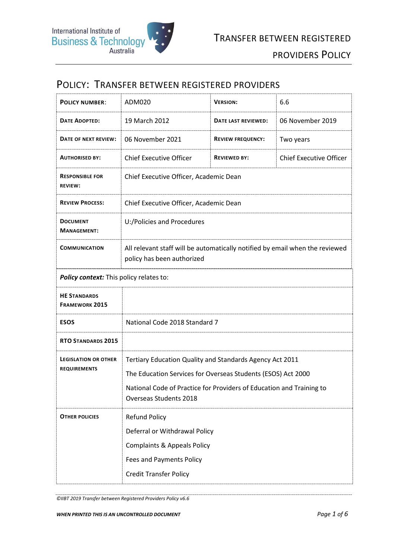## POLICY: TRANSFER BETWEEN REGISTERED PROVIDERS

| <b>POLICY NUMBER:</b>                              | ADM020                                                                                                                                                                                                                     | <b>VERSION:</b>          | 6.6                            |
|----------------------------------------------------|----------------------------------------------------------------------------------------------------------------------------------------------------------------------------------------------------------------------------|--------------------------|--------------------------------|
| <b>DATE ADOPTED:</b>                               | 19 March 2012                                                                                                                                                                                                              | DATE LAST REVIEWED:      | 06 November 2019               |
| DATE OF NEXT REVIEW:                               | 06 November 2021                                                                                                                                                                                                           | <b>REVIEW FREQUENCY:</b> | Two years                      |
| <b>AUTHORISED BY:</b>                              | <b>Chief Executive Officer</b>                                                                                                                                                                                             | <b>REVIEWED BY:</b>      | <b>Chief Executive Officer</b> |
| <b>RESPONSIBLE FOR</b><br><b>REVIEW:</b>           | Chief Executive Officer, Academic Dean                                                                                                                                                                                     |                          |                                |
| <b>REVIEW PROCESS:</b>                             | Chief Executive Officer, Academic Dean                                                                                                                                                                                     |                          |                                |
| <b>DOCUMENT</b><br><b>MANAGEMENT:</b>              | U:/Policies and Procedures                                                                                                                                                                                                 |                          |                                |
| <b>COMMUNICATION</b>                               | All relevant staff will be automatically notified by email when the reviewed<br>policy has been authorized                                                                                                                 |                          |                                |
| Policy context: This policy relates to:            |                                                                                                                                                                                                                            |                          |                                |
| <b>HE STANDARDS</b><br><b>FRAMEWORK 2015</b>       |                                                                                                                                                                                                                            |                          |                                |
| <b>ESOS</b>                                        | National Code 2018 Standard 7                                                                                                                                                                                              |                          |                                |
| <b>RTO STANDARDS 2015</b>                          |                                                                                                                                                                                                                            |                          |                                |
| <b>LEGISLATION OR OTHER</b><br><b>REQUIREMENTS</b> | Tertiary Education Quality and Standards Agency Act 2011<br>The Education Services for Overseas Students (ESOS) Act 2000<br>National Code of Practice for Providers of Education and Training to<br>Overseas Students 2018 |                          |                                |
| <b>OTHER POLICIES</b>                              | <b>Refund Policy</b><br>Deferral or Withdrawal Policy<br><b>Complaints &amp; Appeals Policy</b><br><b>Fees and Payments Policy</b><br><b>Credit Transfer Policy</b>                                                        |                          |                                |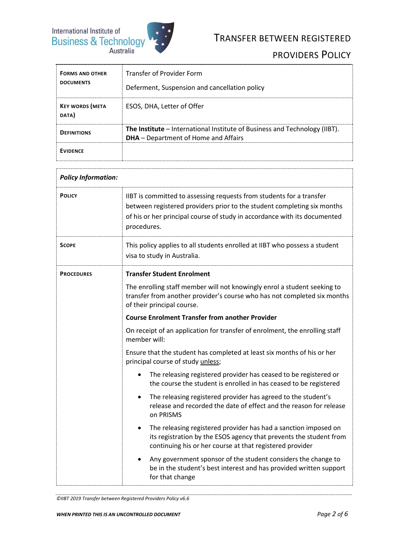

# TRANSFER BETWEEN REGISTERED

## PROVIDERS POLICY

| <b>FORMS AND OTHER</b><br><b>DOCUMENTS</b> | Transfer of Provider Form<br>Deferment, Suspension and cancellation policy                                                |
|--------------------------------------------|---------------------------------------------------------------------------------------------------------------------------|
| <b>KEY WORDS (META</b><br>DATA)            | ESOS, DHA, Letter of Offer                                                                                                |
| <b>DEFINITIONS</b>                         | The Institute - International Institute of Business and Technology (IIBT).<br><b>DHA</b> – Department of Home and Affairs |
| <b>EVIDENCE</b>                            |                                                                                                                           |

| <b>Policy Information:</b> |                                                                                                                                                                                                                                             |  |
|----------------------------|---------------------------------------------------------------------------------------------------------------------------------------------------------------------------------------------------------------------------------------------|--|
| <b>POLICY</b>              | IIBT is committed to assessing requests from students for a transfer<br>between registered providers prior to the student completing six months<br>of his or her principal course of study in accordance with its documented<br>procedures. |  |
| <b>SCOPE</b>               | This policy applies to all students enrolled at IIBT who possess a student<br>visa to study in Australia.                                                                                                                                   |  |
| <b>PROCEDURES</b>          | <b>Transfer Student Enrolment</b>                                                                                                                                                                                                           |  |
|                            | The enrolling staff member will not knowingly enrol a student seeking to<br>transfer from another provider's course who has not completed six months<br>of their principal course.                                                          |  |
|                            | <b>Course Enrolment Transfer from another Provider</b>                                                                                                                                                                                      |  |
|                            | On receipt of an application for transfer of enrolment, the enrolling staff<br>member will:                                                                                                                                                 |  |
|                            | Ensure that the student has completed at least six months of his or her<br>principal course of study unless;                                                                                                                                |  |
|                            | The releasing registered provider has ceased to be registered or<br>the course the student is enrolled in has ceased to be registered                                                                                                       |  |
|                            | The releasing registered provider has agreed to the student's<br>$\bullet$<br>release and recorded the date of effect and the reason for release<br>on PRISMS                                                                               |  |
|                            | The releasing registered provider has had a sanction imposed on<br>$\bullet$<br>its registration by the ESOS agency that prevents the student from<br>continuing his or her course at that registered provider                              |  |
|                            | Any government sponsor of the student considers the change to<br>be in the student's best interest and has provided written support<br>for that change                                                                                      |  |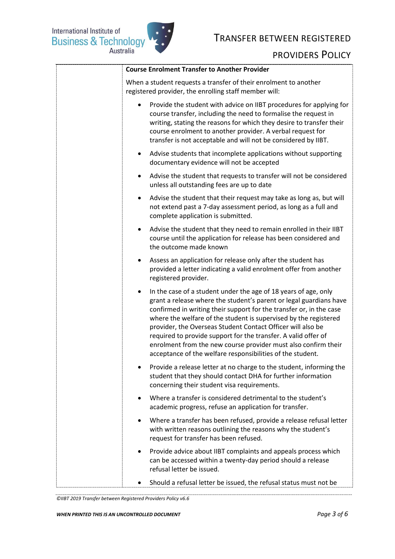International Institute of<br>Business & Technology<br>Australia



#### TRANSFER BETWEEN REGISTERED

#### PROVIDERS POLICY

| <b>Course Enrolment Transfer to Another Provider</b>                                                                                                                                                                                                                                                                                                                                                                                                                                                                                                           |
|----------------------------------------------------------------------------------------------------------------------------------------------------------------------------------------------------------------------------------------------------------------------------------------------------------------------------------------------------------------------------------------------------------------------------------------------------------------------------------------------------------------------------------------------------------------|
| When a student requests a transfer of their enrolment to another<br>registered provider, the enrolling staff member will:                                                                                                                                                                                                                                                                                                                                                                                                                                      |
| Provide the student with advice on IIBT procedures for applying for<br>course transfer, including the need to formalise the request in<br>writing, stating the reasons for which they desire to transfer their<br>course enrolment to another provider. A verbal request for<br>transfer is not acceptable and will not be considered by IIBT.                                                                                                                                                                                                                 |
| Advise students that incomplete applications without supporting<br>$\bullet$<br>documentary evidence will not be accepted                                                                                                                                                                                                                                                                                                                                                                                                                                      |
| Advise the student that requests to transfer will not be considered<br>$\bullet$<br>unless all outstanding fees are up to date                                                                                                                                                                                                                                                                                                                                                                                                                                 |
| Advise the student that their request may take as long as, but will<br>$\bullet$<br>not extend past a 7-day assessment period, as long as a full and<br>complete application is submitted.                                                                                                                                                                                                                                                                                                                                                                     |
| Advise the student that they need to remain enrolled in their IIBT<br>$\bullet$<br>course until the application for release has been considered and<br>the outcome made known                                                                                                                                                                                                                                                                                                                                                                                  |
| Assess an application for release only after the student has<br>$\bullet$<br>provided a letter indicating a valid enrolment offer from another<br>registered provider.                                                                                                                                                                                                                                                                                                                                                                                         |
| In the case of a student under the age of 18 years of age, only<br>$\bullet$<br>grant a release where the student's parent or legal guardians have<br>confirmed in writing their support for the transfer or, in the case<br>where the welfare of the student is supervised by the registered<br>provider, the Overseas Student Contact Officer will also be<br>required to provide support for the transfer. A valid offer of<br>enrolment from the new course provider must also confirm their<br>acceptance of the welfare responsibilities of the student. |
| Provide a release letter at no charge to the student, informing the<br>student that they should contact DHA for further information<br>concerning their student visa requirements.                                                                                                                                                                                                                                                                                                                                                                             |
| Where a transfer is considered detrimental to the student's<br>$\bullet$<br>academic progress, refuse an application for transfer.                                                                                                                                                                                                                                                                                                                                                                                                                             |
| Where a transfer has been refused, provide a release refusal letter<br>$\bullet$<br>with written reasons outlining the reasons why the student's<br>request for transfer has been refused.                                                                                                                                                                                                                                                                                                                                                                     |
| Provide advice about IIBT complaints and appeals process which<br>٠<br>can be accessed within a twenty-day period should a release<br>refusal letter be issued.                                                                                                                                                                                                                                                                                                                                                                                                |
| Should a refusal letter be issued, the refusal status must not be<br>٠                                                                                                                                                                                                                                                                                                                                                                                                                                                                                         |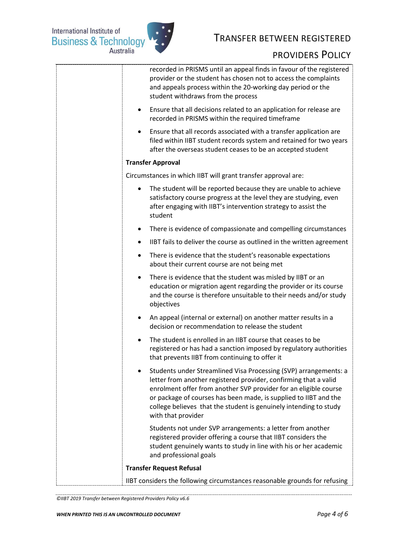

| recorded in PRISMS until an appeal finds in favour of the registered<br>provider or the student has chosen not to access the complaints<br>and appeals process within the 20-working day period or the<br>student withdraws from the process                                                                                                                            |
|-------------------------------------------------------------------------------------------------------------------------------------------------------------------------------------------------------------------------------------------------------------------------------------------------------------------------------------------------------------------------|
| Ensure that all decisions related to an application for release are<br>$\bullet$<br>recorded in PRISMS within the required timeframe                                                                                                                                                                                                                                    |
| Ensure that all records associated with a transfer application are<br>filed within IIBT student records system and retained for two years<br>after the overseas student ceases to be an accepted student                                                                                                                                                                |
| <b>Transfer Approval</b>                                                                                                                                                                                                                                                                                                                                                |
| Circumstances in which IIBT will grant transfer approval are:                                                                                                                                                                                                                                                                                                           |
| The student will be reported because they are unable to achieve<br>satisfactory course progress at the level they are studying, even<br>after engaging with IIBT's intervention strategy to assist the<br>student                                                                                                                                                       |
| There is evidence of compassionate and compelling circumstances<br>٠                                                                                                                                                                                                                                                                                                    |
| IIBT fails to deliver the course as outlined in the written agreement<br>$\bullet$                                                                                                                                                                                                                                                                                      |
| There is evidence that the student's reasonable expectations<br>$\bullet$<br>about their current course are not being met                                                                                                                                                                                                                                               |
| There is evidence that the student was misled by IIBT or an<br>$\bullet$<br>education or migration agent regarding the provider or its course<br>and the course is therefore unsuitable to their needs and/or study<br>objectives                                                                                                                                       |
| An appeal (internal or external) on another matter results in a<br>$\bullet$<br>decision or recommendation to release the student                                                                                                                                                                                                                                       |
| The student is enrolled in an IIBT course that ceases to be<br>registered or has had a sanction imposed by regulatory authorities<br>that prevents IIBT from continuing to offer it                                                                                                                                                                                     |
| Students under Streamlined Visa Processing (SVP) arrangements: a<br>letter from another registered provider, confirming that a valid<br>enrolment offer from another SVP provider for an eligible course<br>or package of courses has been made, is supplied to IIBT and the<br>college believes that the student is genuinely intending to study<br>with that provider |
| Students not under SVP arrangements: a letter from another<br>registered provider offering a course that IIBT considers the<br>student genuinely wants to study in line with his or her academic<br>and professional goals                                                                                                                                              |
| <b>Transfer Request Refusal</b>                                                                                                                                                                                                                                                                                                                                         |
| IIBT considers the following circumstances reasonable grounds for refusing                                                                                                                                                                                                                                                                                              |

*<sup>©</sup>IIBT 2019 Transfer between Registered Providers Policy v6.6*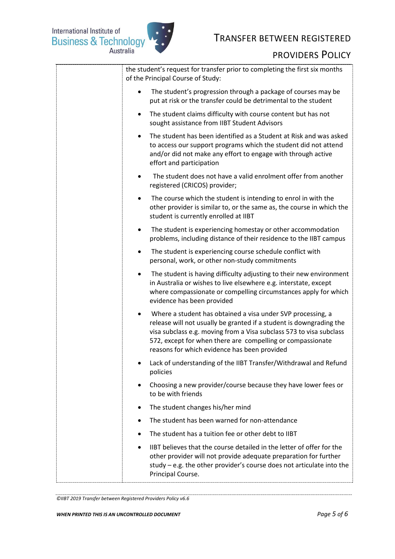International Institute of<br>Business & Technology<br>Australia



## TRANSFER BETWEEN REGISTERED

### PROVIDERS POLICY

| the student's request for transfer prior to completing the first six months<br>of the Principal Course of Study:                                                                                                                                                                                                        |
|-------------------------------------------------------------------------------------------------------------------------------------------------------------------------------------------------------------------------------------------------------------------------------------------------------------------------|
| The student's progression through a package of courses may be<br>put at risk or the transfer could be detrimental to the student                                                                                                                                                                                        |
| The student claims difficulty with course content but has not<br>$\bullet$<br>sought assistance from IIBT Student Advisors                                                                                                                                                                                              |
| The student has been identified as a Student at Risk and was asked<br>to access our support programs which the student did not attend<br>and/or did not make any effort to engage with through active<br>effort and participation                                                                                       |
| The student does not have a valid enrolment offer from another<br>registered (CRICOS) provider;                                                                                                                                                                                                                         |
| The course which the student is intending to enrol in with the<br>other provider is similar to, or the same as, the course in which the<br>student is currently enrolled at IIBT                                                                                                                                        |
| The student is experiencing homestay or other accommodation<br>٠<br>problems, including distance of their residence to the IIBT campus                                                                                                                                                                                  |
| The student is experiencing course schedule conflict with<br>٠<br>personal, work, or other non-study commitments                                                                                                                                                                                                        |
| The student is having difficulty adjusting to their new environment<br>in Australia or wishes to live elsewhere e.g. interstate, except<br>where compassionate or compelling circumstances apply for which<br>evidence has been provided                                                                                |
| Where a student has obtained a visa under SVP processing, a<br>release will not usually be granted if a student is downgrading the<br>visa subclass e.g. moving from a Visa subclass 573 to visa subclass<br>572, except for when there are compelling or compassionate<br>reasons for which evidence has been provided |
| Lack of understanding of the IIBT Transfer/Withdrawal and Refund<br>policies                                                                                                                                                                                                                                            |
| Choosing a new provider/course because they have lower fees or<br>$\bullet$<br>to be with friends                                                                                                                                                                                                                       |
| The student changes his/her mind<br>٠                                                                                                                                                                                                                                                                                   |
| The student has been warned for non-attendance                                                                                                                                                                                                                                                                          |
| The student has a tuition fee or other debt to IIBT                                                                                                                                                                                                                                                                     |
| IIBT believes that the course detailed in the letter of offer for the<br>$\bullet$<br>other provider will not provide adequate preparation for further<br>study – e.g. the other provider's course does not articulate into the<br>Principal Course.                                                                    |